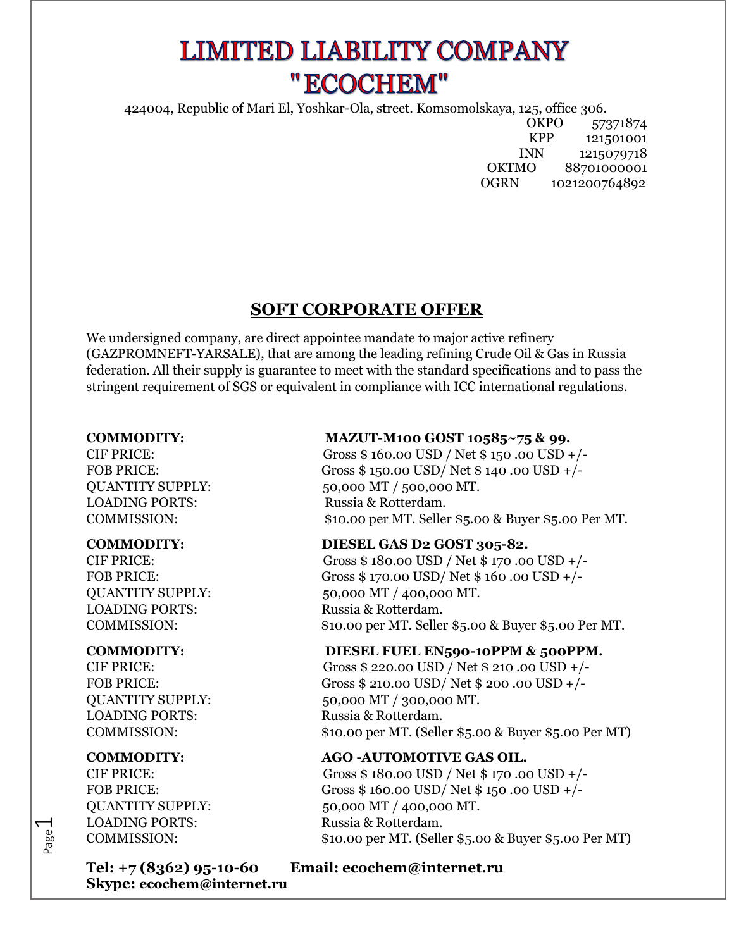# **LIMITED LIABILITY COMPANY** "ECOCHEM"

424004, Republic of Mari El, Yoshkar-Ola, street. Komsomolskaya, 125, office 306.

OKPO 57371874 KPP 121501001 INN 1215079718 OKTMO 88701000001 OGRN 1021200764892

## **SOFT CORPORATE OFFER**

We undersigned company, are direct appointee mandate to major active refinery (GAZPROMNEFT-YARSALE), that are among the leading refining Crude Oil & Gas in Russia federation. All their supply is guarantee to meet with the standard specifications and to pass the stringent requirement of SGS or equivalent in compliance with ICC international regulations.

LOADING PORTS: Russia & Rotterdam.

LOADING PORTS: Russia & Rotterdam.

LOADING PORTS: Russia & Rotterdam.

Page  $\overline{\phantom{0}}$ 

LOADING PORTS: Russia & Rotterdam.

## **Skype: ecochem@internet.ru**

### **COMMODITY: MAZUT-M100 GOST 10585~75 & 99.**

CIF PRICE: Gross \$ 160.00 USD / Net \$ 150 .00 USD +/- FOB PRICE: Gross \$ 150.00 USD/ Net \$ 140 .00 USD +/- QUANTITY SUPPLY: 50,000 MT / 500,000 MT. COMMISSION: \$10.00 per MT. Seller \$5.00 & Buyer \$5.00 Per MT.

### **COMMODITY: DIESEL GAS D2 GOST 305-82.**

CIF PRICE: Gross \$ 180.00 USD / Net \$ 170 .00 USD +/- FOB PRICE: Gross \$ 170.00 USD/ Net \$ 160 .00 USD +/- QUANTITY SUPPLY: 50,000 MT / 400,000 MT. COMMISSION: \$10.00 per MT. Seller \$5.00 & Buyer \$5.00 Per MT.

### **COMMODITY: DIESEL FUEL EN590-10PPM & 500PPM.**

CIF PRICE: Gross \$ 220.00 USD / Net \$ 210 .00 USD +/- FOB PRICE: Gross \$ 210.00 USD/ Net \$ 200.00 USD +/-QUANTITY SUPPLY: 50,000 MT / 300,000 MT. COMMISSION: \$10.00 per MT. (Seller \$5.00 & Buyer \$5.00 Per MT)

### **COMMODITY: AGO -AUTOMOTIVE GAS OIL.**

CIF PRICE: Gross \$ 180.00 USD / Net \$ 170 .00 USD +/- FOB PRICE: Gross \$ 160.00 USD/ Net \$ 150.00 USD +/-QUANTITY SUPPLY: 50,000 MT / 400,000 MT. COMMISSION: \$10.00 per MT. (Seller \$5.00 & Buyer \$5.00 Per MT)

## **Tel: +7 (8362) 95-10-60 Email: [ecochem@internet.ru](mailto:ecochem@internet.ru)**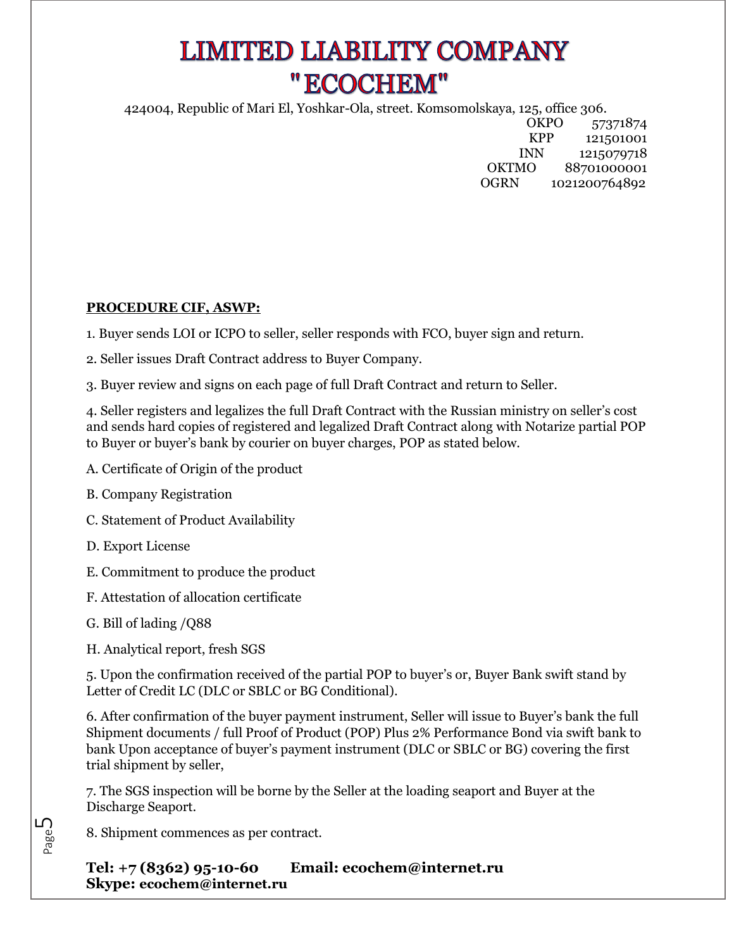# **LIMITED LIABILITY COMPANY** "ECOCHEM"

424004, Republic of Mari El, Yoshkar-Ola, street. Komsomolskaya, 125, office 306.

OKPO 57371874 KPP 121501001 INN 1215079718 OKTMO 88701000001 OGRN 1021200764892

### **PROCEDURE CIF, ASWP:**

1. Buyer sends LOI or ICPO to seller, seller responds with FCO, buyer sign and return.

2. Seller issues Draft Contract address to Buyer Company.

3. Buyer review and signs on each page of full Draft Contract and return to Seller.

4. Seller registers and legalizes the full Draft Contract with the Russian ministry on seller's cost and sends hard copies of registered and legalized Draft Contract along with Notarize partial POP to Buyer or buyer's bank by courier on buyer charges, POP as stated below.

- A. Certificate of Origin of the product
- B. Company Registration
- C. Statement of Product Availability
- D. Export License
- E. Commitment to produce the product
- F. Attestation of allocation certificate
- G. Bill of lading /Q88

Page ம

H. Analytical report, fresh SGS

5. Upon the confirmation received of the partial POP to buyer's or, Buyer Bank swift stand by Letter of Credit LC (DLC or SBLC or BG Conditional).

6. After confirmation of the buyer payment instrument, Seller will issue to Buyer's bank the full Shipment documents / full Proof of Product (POP) Plus 2% Performance Bond via swift bank to bank Upon acceptance of buyer's payment instrument (DLC or SBLC or BG) covering the first trial shipment by seller,

7. The SGS inspection will be borne by the Seller at the loading seaport and Buyer at the Discharge Seaport.

8. Shipment commences as per contract.

**Tel: +7 (8362) 95-10-60 Email: [ecochem@internet.ru](mailto:ecochem@internet.ru)  Skype: ecochem@internet.ru**